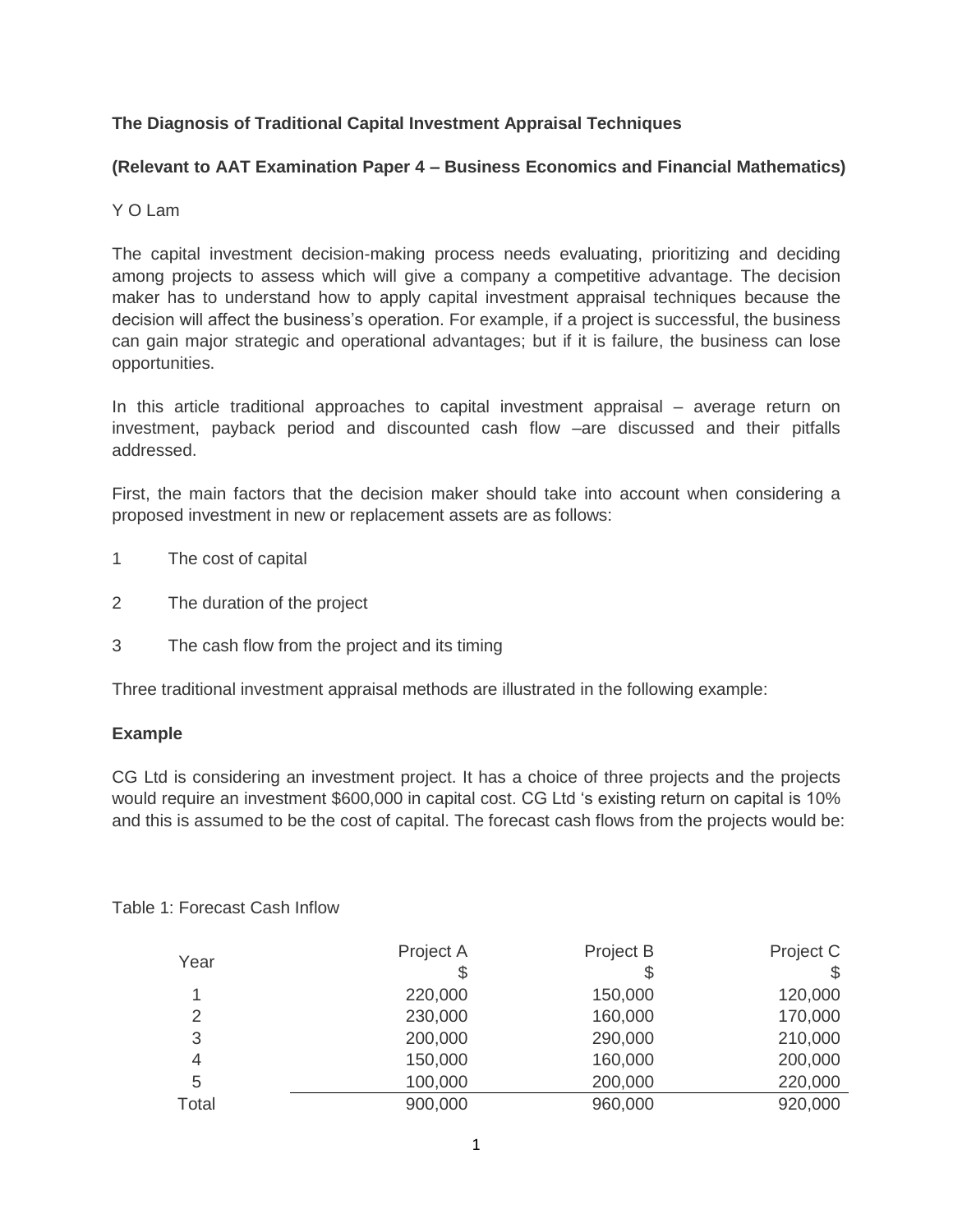# **The Diagnosis of Traditional Capital Investment Appraisal Techniques**

# **(Relevant to AAT Examination Paper 4 – Business Economics and Financial Mathematics)**

#### Y O Lam

The capital investment decision-making process needs evaluating, prioritizing and deciding among projects to assess which will give a company a competitive advantage. The decision maker has to understand how to apply capital investment appraisal techniques because the decision will affect the business's operation. For example, if a project is successful, the business can gain major strategic and operational advantages; but if it is failure, the business can lose opportunities.

In this article traditional approaches to capital investment appraisal – average return on investment, payback period and discounted cash flow –are discussed and their pitfalls addressed.

First, the main factors that the decision maker should take into account when considering a proposed investment in new or replacement assets are as follows:

- 1 The cost of capital
- 2 The duration of the project
- 3 The cash flow from the project and its timing

Three traditional investment appraisal methods are illustrated in the following example:

#### **Example**

CG Ltd is considering an investment project. It has a choice of three projects and the projects would require an investment \$600,000 in capital cost. CG Ltd 's existing return on capital is 10% and this is assumed to be the cost of capital. The forecast cash flows from the projects would be:

| Year           | Project A | Project B | Project C |
|----------------|-----------|-----------|-----------|
|                | \$        |           | \$        |
| 1              | 220,000   | 150,000   | 120,000   |
| 2              | 230,000   | 160,000   | 170,000   |
| 3              | 200,000   | 290,000   | 210,000   |
| $\overline{4}$ | 150,000   | 160,000   | 200,000   |
| 5              | 100,000   | 200,000   | 220,000   |
| Total          | 900,000   | 960,000   | 920,000   |

Table 1: Forecast Cash Inflow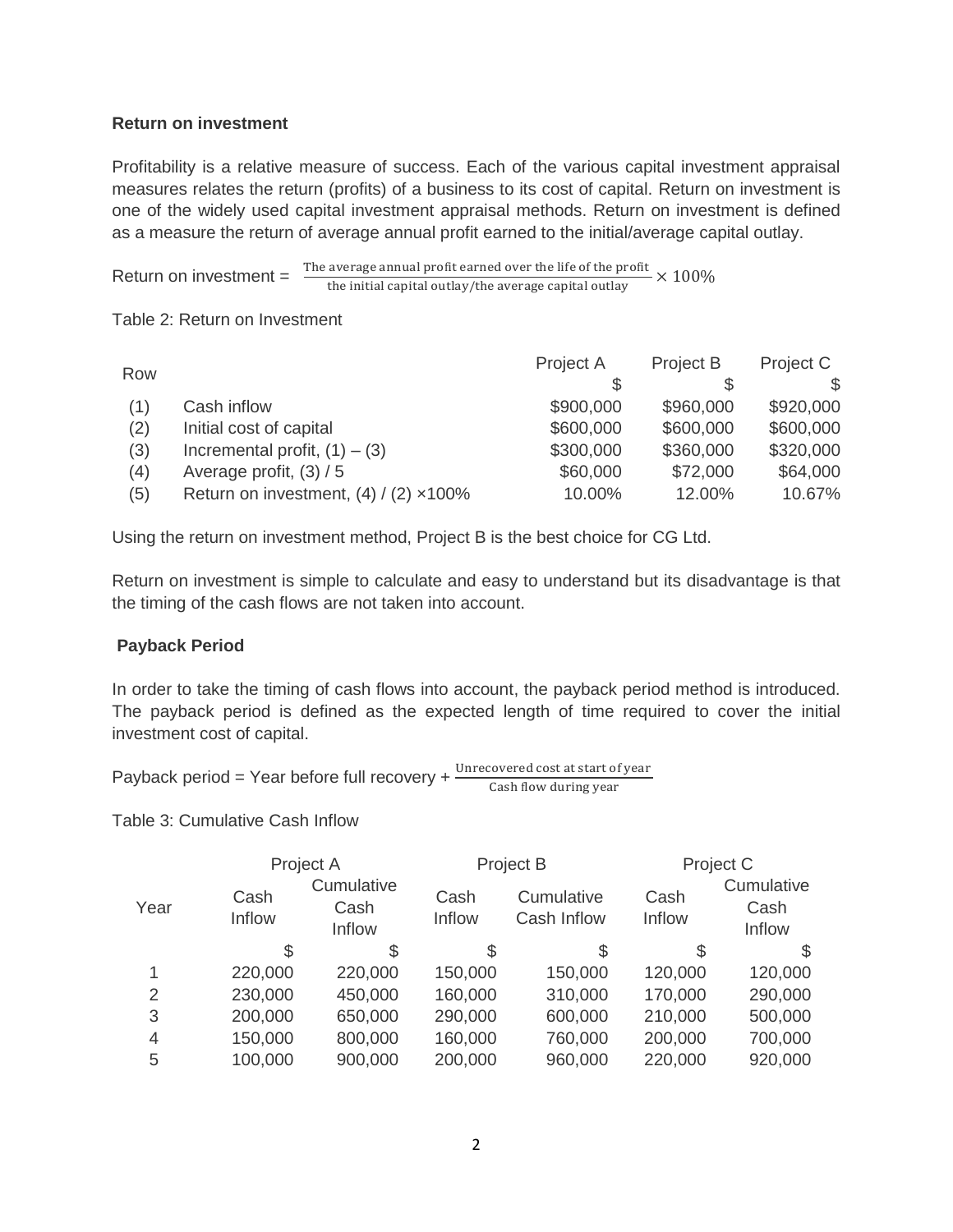### **Return on investment**

Profitability is a relative measure of success. Each of the various capital investment appraisal measures relates the return (profits) of a business to its cost of capital. Return on investment is one of the widely used capital investment appraisal methods. Return on investment is defined as a measure the return of average annual profit earned to the initial/average capital outlay.

Return on investment = The average annual profit earned over the life of the profit  $\times$   $100\%$ the initial capital outlay/the average capital outlay

Table 2: Return on Investment

| Row |                                                | Project A | Project B | Project C |
|-----|------------------------------------------------|-----------|-----------|-----------|
|     |                                                |           |           |           |
| (1) | Cash inflow                                    | \$900,000 | \$960,000 | \$920,000 |
| (2) | Initial cost of capital                        | \$600,000 | \$600,000 | \$600,000 |
| (3) | Incremental profit, $(1) - (3)$                | \$300,000 | \$360,000 | \$320,000 |
| (4) | Average profit, $(3) / 5$                      | \$60,000  | \$72,000  | \$64,000  |
| (5) | Return on investment, $(4) / (2) \times 100\%$ | 10.00%    | 12.00%    | 10.67%    |

Using the return on investment method, Project B is the best choice for CG Ltd.

Return on investment is simple to calculate and easy to understand but its disadvantage is that the timing of the cash flows are not taken into account.

# **Payback Period**

In order to take the timing of cash flows into account, the payback period method is introduced. The payback period is defined as the expected length of time required to cover the initial investment cost of capital.

Payback period = Year before full recovery +  $\frac{\text{on } \text{etc}}{c}$ 

Table 3: Cumulative Cash Inflow

| Project A      |                              | Project B      |                           | Project C      |                              |
|----------------|------------------------------|----------------|---------------------------|----------------|------------------------------|
| Cash<br>Inflow | Cumulative<br>Cash<br>Inflow | Cash<br>Inflow | Cumulative<br>Cash Inflow | Cash<br>Inflow | Cumulative<br>Cash<br>Inflow |
| S              | S                            | S              | S                         | S              | S                            |
| 220,000        | 220,000                      | 150,000        | 150,000                   | 120,000        | 120,000                      |
| 230,000        | 450,000                      | 160,000        | 310,000                   | 170,000        | 290,000                      |
| 200,000        | 650,000                      | 290,000        | 600,000                   | 210,000        | 500,000                      |
| 150,000        | 800,000                      | 160,000        | 760,000                   | 200,000        | 700,000                      |
| 100,000        | 900,000                      | 200,000        | 960,000                   | 220,000        | 920,000                      |
|                |                              |                |                           |                |                              |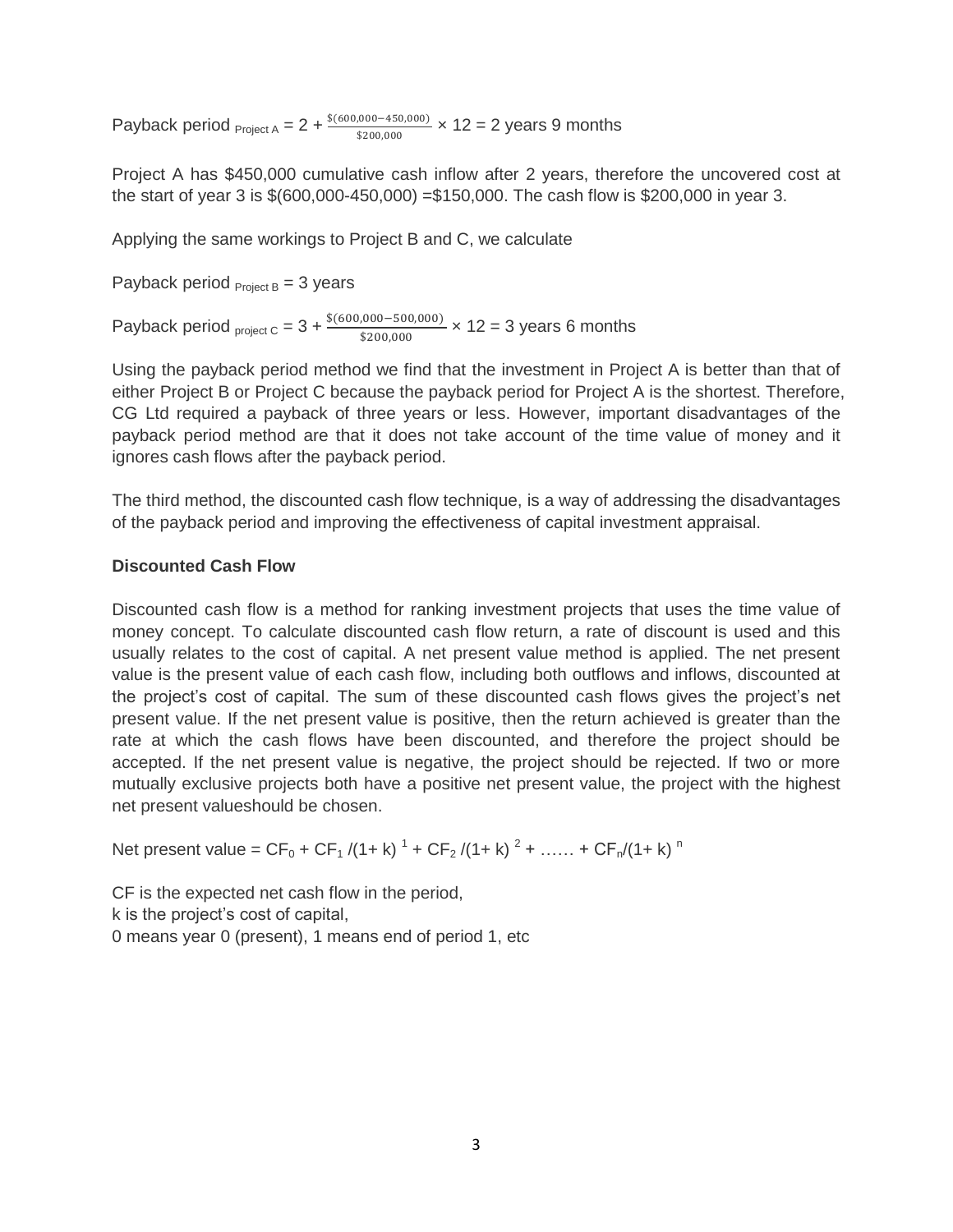Payback period  $_{\text{Project A}} = 2 + \frac{$(600,000 - 450,000)}{$200,000} \times 12 = 2 \text{ years } 9 \text{ months}$ 

Project A has \$450,000 cumulative cash inflow after 2 years, therefore the uncovered cost at the start of year 3 is \$(600,000-450,000) =\$150,000. The cash flow is \$200,000 in year 3.

Applying the same workings to Project B and C, we calculate

Payback period  $_{Project B} = 3$  years

Payback period  $_{\text{project C}} = 3 + \frac{$(600,000 - 300,000)}{$200,000} \times 12 = 3$  years 6 months

Using the payback period method we find that the investment in Project A is better than that of either Project B or Project C because the payback period for Project A is the shortest. Therefore, CG Ltd required a payback of three years or less. However, important disadvantages of the payback period method are that it does not take account of the time value of money and it ignores cash flows after the payback period.

The third method, the discounted cash flow technique, is a way of addressing the disadvantages of the payback period and improving the effectiveness of capital investment appraisal.

# **Discounted Cash Flow**

Discounted cash flow is a method for ranking investment projects that uses the time value of money concept. To calculate discounted cash flow return, a rate of discount is used and this usually relates to the cost of capital. A net present value method is applied. The net present value is the present value of each cash flow, including both outflows and inflows, discounted at the project's cost of capital. The sum of these discounted cash flows gives the project's net present value. If the net present value is positive, then the return achieved is greater than the rate at which the cash flows have been discounted, and therefore the project should be accepted. If the net present value is negative, the project should be rejected. If two or more mutually exclusive projects both have a positive net present value, the project with the highest net present valueshould be chosen.

Net present value =  $CF_0 + CF_1 / (1 + k)^{-1} + CF_2 / (1 + k)^{-2} + \ldots + CF_n / (1 + k)^{-n}$ 

CF is the expected net cash flow in the period, k is the project's cost of capital, 0 means year 0 (present), 1 means end of period 1, etc